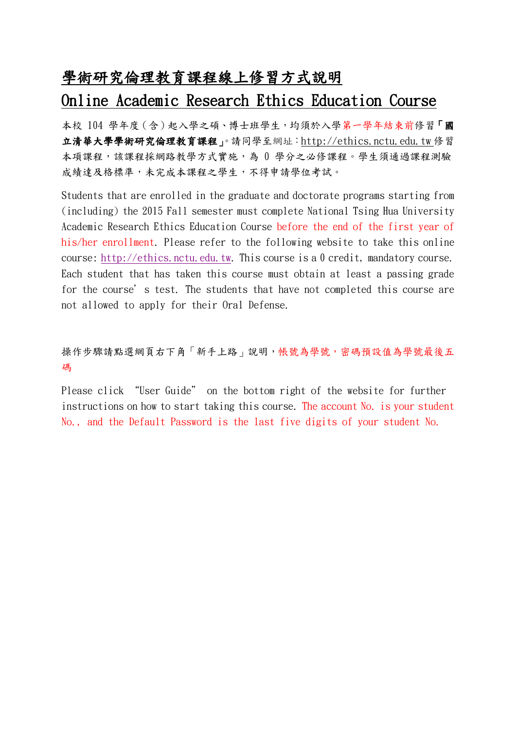## 學術研究倫理教育課程線上修習方式說明

## Online Academic Research Ethics Education Course

本校 104 學年度(含)起入學之碩、博士班學生,均須於入學第一學年結束前修習「國 立清華大學學術研究倫理教育課程」。請同學至網址[:http://ethics.nctu.edu.tw](http://ethics.nctu.edu.tw/) 修習 本項課程,該課程採網路教學方式實施,為 0 學分之必修課程。學生須通過課程測驗 成績達及格標準,未完成本課程之學生,不得申請學位考試。

Students that are enrolled in the graduate and doctorate programs starting from (including) the 2015 Fall semester must complete National Tsing Hua University Academic Research Ethics Education Course before the end of the first year of his/her enrollment. Please refer to the following website to take this online course: [http://ethics.nctu.edu.tw.](http://ethics.nctu.edu.tw/) This course is a 0 credit, mandatory course. Each student that has taken this course must obtain at least a passing grade for the course's test. The students that have not completed this course are not allowed to apply for their Oral Defense.

## 操作步驟請點選網頁右下角「新手上路」說明,帳號為學號,密碼預設值為學號最後五 碼

Please click "User Guide" on the bottom right of the website for further instructions on how to start taking this course. The account No. is your student No., and the Default Password is the last five digits of your student No.